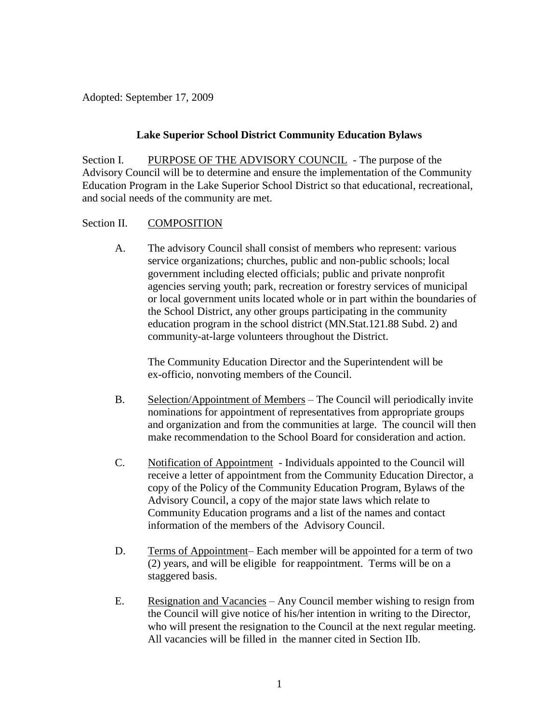Adopted: September 17, 2009

### **Lake Superior School District Community Education Bylaws**

Section I. PURPOSE OF THE ADVISORY COUNCIL - The purpose of the Advisory Council will be to determine and ensure the implementation of the Community Education Program in the Lake Superior School District so that educational, recreational, and social needs of the community are met.

### Section II. COMPOSITION

A. The advisory Council shall consist of members who represent: various service organizations; churches, public and non-public schools; local government including elected officials; public and private nonprofit agencies serving youth; park, recreation or forestry services of municipal or local government units located whole or in part within the boundaries of the School District, any other groups participating in the community education program in the school district (MN.Stat.121.88 Subd. 2) and community-at-large volunteers throughout the District.

The Community Education Director and the Superintendent will be ex-officio, nonvoting members of the Council.

- B. Selection/Appointment of Members The Council will periodically invite nominations for appointment of representatives from appropriate groups and organization and from the communities at large. The council will then make recommendation to the School Board for consideration and action.
- C. Notification of Appointment Individuals appointed to the Council will receive a letter of appointment from the Community Education Director, a copy of the Policy of the Community Education Program, Bylaws of the Advisory Council, a copy of the major state laws which relate to Community Education programs and a list of the names and contact information of the members of the Advisory Council.
- D. Terms of Appointment– Each member will be appointed for a term of two (2) years, and will be eligible for reappointment. Terms will be on a staggered basis.
- E. Resignation and Vacancies Any Council member wishing to resign from the Council will give notice of his/her intention in writing to the Director, who will present the resignation to the Council at the next regular meeting. All vacancies will be filled in the manner cited in Section IIb.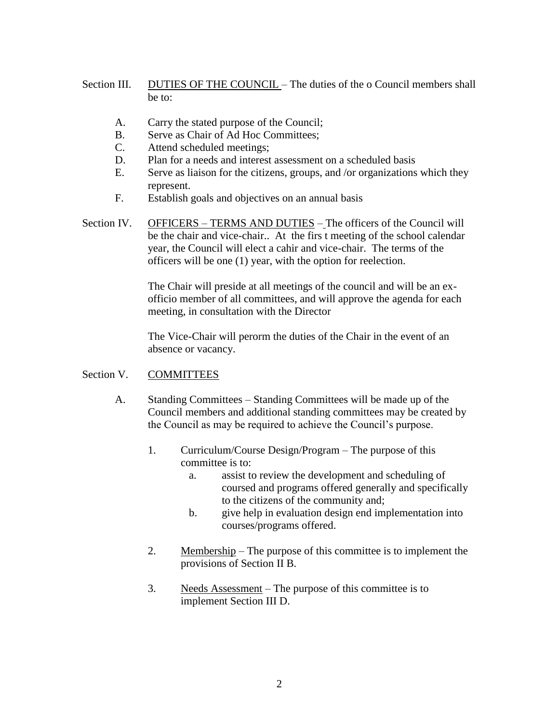- Section III. DUTIES OF THE COUNCIL The duties of the o Council members shall be to:
	- A. Carry the stated purpose of the Council;
	- B. Serve as Chair of Ad Hoc Committees;
	- C. Attend scheduled meetings;
	- D. Plan for a needs and interest assessment on a scheduled basis
	- E. Serve as liaison for the citizens, groups, and /or organizations which they represent.
	- F. Establish goals and objectives on an annual basis
- Section IV. OFFICERS TERMS AND DUTIES The officers of the Council will be the chair and vice-chair.. At the firs t meeting of the school calendar year, the Council will elect a cahir and vice-chair. The terms of the officers will be one (1) year, with the option for reelection.

The Chair will preside at all meetings of the council and will be an exofficio member of all committees, and will approve the agenda for each meeting, in consultation with the Director

The Vice-Chair will perorm the duties of the Chair in the event of an absence or vacancy.

# Section V. COMMITTEES

- A. Standing Committees Standing Committees will be made up of the Council members and additional standing committees may be created by the Council as may be required to achieve the Council's purpose.
	- 1. Curriculum/Course Design/Program The purpose of this committee is to:
		- a. assist to review the development and scheduling of coursed and programs offered generally and specifically to the citizens of the community and;
		- b. give help in evaluation design end implementation into courses/programs offered.
	- 2. Membership The purpose of this committee is to implement the provisions of Section II B.
	- 3. Needs Assessment The purpose of this committee is to implement Section III D.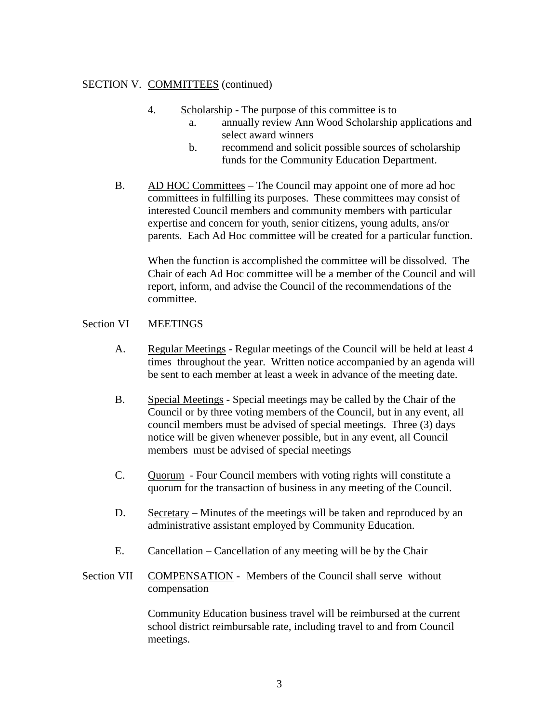### SECTION V. COMMITTEES (continued)

- 4. Scholarship The purpose of this committee is to
	- a. annually review Ann Wood Scholarship applications and select award winners
	- b. recommend and solicit possible sources of scholarship funds for the Community Education Department.
- B. AD HOC Committees The Council may appoint one of more ad hoc committees in fulfilling its purposes. These committees may consist of interested Council members and community members with particular expertise and concern for youth, senior citizens, young adults, ans/or parents. Each Ad Hoc committee will be created for a particular function.

When the function is accomplished the committee will be dissolved. The Chair of each Ad Hoc committee will be a member of the Council and will report, inform, and advise the Council of the recommendations of the committee.

## Section VI MEETINGS

- A. Regular Meetings Regular meetings of the Council will be held at least 4 times throughout the year. Written notice accompanied by an agenda will be sent to each member at least a week in advance of the meeting date.
- B. Special Meetings Special meetings may be called by the Chair of the Council or by three voting members of the Council, but in any event, all council members must be advised of special meetings. Three (3) days notice will be given whenever possible, but in any event, all Council members must be advised of special meetings
- C. Quorum Four Council members with voting rights will constitute a quorum for the transaction of business in any meeting of the Council.
- D. Secretary Minutes of the meetings will be taken and reproduced by an administrative assistant employed by Community Education.
- E. Cancellation Cancellation of any meeting will be by the Chair
- Section VII COMPENSATION Members of the Council shall serve without compensation

Community Education business travel will be reimbursed at the current school district reimbursable rate, including travel to and from Council meetings.